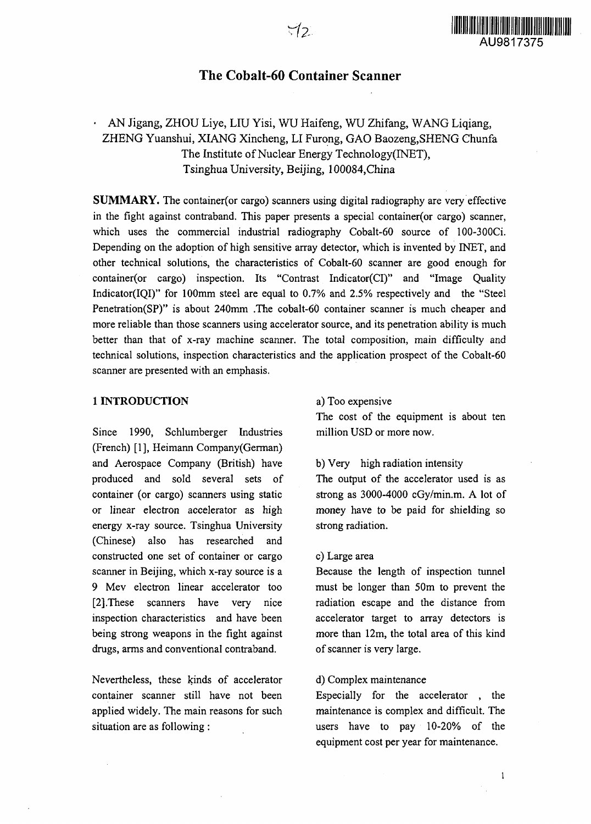

## The Cobalt-60 Container Scanner

# • AN Jigang, ZHOU Liye, LIU Yisi, WU Haifeng, WU Zhifang, WANG Liqiang, ZHENG Yuanshui, XIANG Xincheng, LI Furong, GAO Baozeng,SHENG Chunfa The Institute of Nuclear Energy Technology(INET), Tsinghua University, Beijing, 100084,China

**SUMMARY.** The container (or cargo) scanners using digital radiography are very effective in the fight against contraband. This paper presents a special container(or cargo) scanner, which uses the commercial industrial radiography Cobalt-60 source of 100-300Ci. Depending on the adoption of high sensitive array detector, which is invented by INET, and other technical solutions, the characteristics of Cobalt-60 scanner are good enough for container(or cargo) inspection. Its "Contrast Indicator(CI)" and "Image Quality Indicator(IQI)" for 100mm steel are equal to 0.7% and 2.5% respectively and the "Steel Penetration(SP)" is about 240mm .The cobalt-60 container scanner is much cheaper and more reliable than those scanners using accelerator source, and its penetration ability is much better than that of x-ray machine scanner. The total composition, main difficulty and technical solutions, inspection characteristics and the application prospect of the Cobalt-60 scanner are presented with an emphasis.

### **1 INTRODUCTION**

Since 1990, Schlumberger Industries (French) [1], Heimann Company(German) and Aerospace Company (British) have produced and sold several sets of container (or cargo) scanners using static or linear electron accelerator as high energy x-ray source. Tsinghua University (Chinese) also has researched and constructed one set of container or cargo scanner in Beijing, which x-ray source is a 9 Mev electron linear accelerator too [2] These scanners have very nice inspection characteristics and have been being strong weapons in the fight against drugs, arms and conventional contraband.

Nevertheless, these kinds of accelerator container scanner still have not been applied widely. The main reasons for such situation are as following :

#### a) Too expensive

The cost of the equipment is about ten million USD or more now.

## b) Very high radiation intensity

The output of the accelerator used is as strong as 3000-4000 cGy/min.m. A lot of money have to be paid for shielding so strong radiation.

#### c) Large area

Because the length of inspection tunnel must be longer than 50m to prevent the radiation escape and the distance from accelerator target to array detectors is more than 12m, the total area of this kind of scanner is very large.

### d) Complex maintenance

Especially for the accelerator , the maintenance is complex and difficult. The users have to pay 10-20% of the equipment cost per year for maintenance.

 $\mathbf{1}$ 

Λ.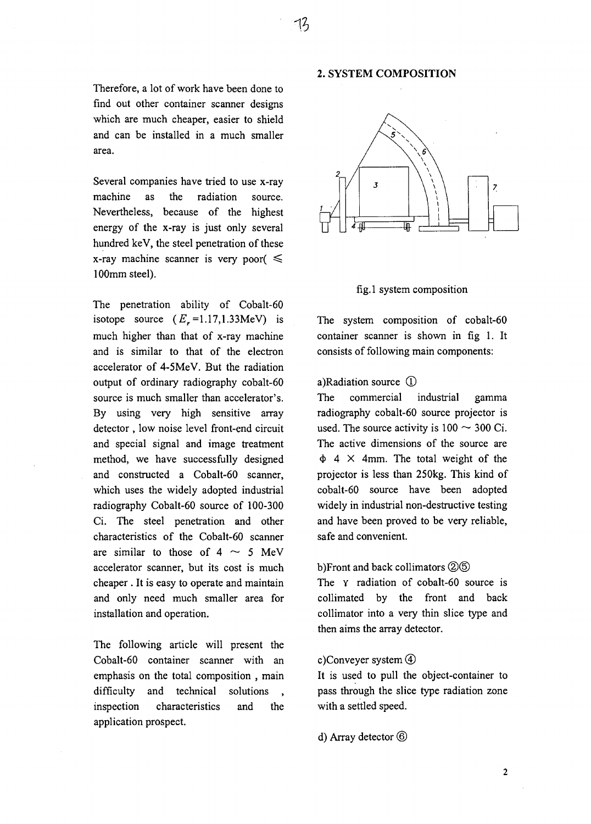Therefore, a lot of work have been done to find out other container scanner designs which are much cheaper, easier to shield and can be installed in a much smaller area.

Several companies have tried to use x-ray machine as the radiation source. Nevertheless, because of the highest energy of the x-ray is just only several hundred keV, the steel penetration of these x-ray machine scanner is very poor( $\leq$ 100mm steel).

The penetration ability of Cobalt-60 isotope source  $(E_r=1.17,1.33$ MeV) is much higher than that of x-ray machine and is similar to that of the electron accelerator of 4-5MeV. But the radiation output of ordinary radiography cobalt-60 source is much smaller than accelerator's. By using very high sensitive array detector , low noise level front-end circuit and special signal and image treatment method, we have successfully designed and constructed a Cobalt-60 scanner, which uses the widely adopted industrial radiography Cobalt-60 source of 100-300 Ci. The steel penetration and other characteristics of the Cobalt-60 scanner are similar to those of  $4 \sim 5$  MeV accelerator scanner, but its cost is much cheaper . It is easy to operate and maintain and only need much smaller area for installation and operation.

The following article will present the Cobalt-60 container scanner with an emphasis on the total composition , main difficulty and technical solutions inspection characteristics and the application prospect.

### **2. SYSTEM COMPOSITION**



#### fig. 1 system composition

The system composition of cobalt-60 container scanner is shown in fig 1. It consists of following main components:

## a)Radiation source  $\Omega$

The commercial industrial gamma radiography cobalt-60 source projector is used. The source activity is  $100 \sim 300$  Ci. The active dimensions of the source are  $\Phi$  4  $\times$  4mm. The total weight of the projector is less than 250kg. This kind of cobalt-60 source have been adopted widely in industrial non-destructive testing and have been proved to be very reliable, safe and convenient.

## b)Front and back collimators 26

The *Y* radiation of cobalt-60 source is collimated by the front and back collimator into a very thin slice type and then aims the array detector.

## c)Conveyer system *®*

It is used to pull the object-container to pass through the slice type radiation zone with a settled speed.

## d) Array detector ©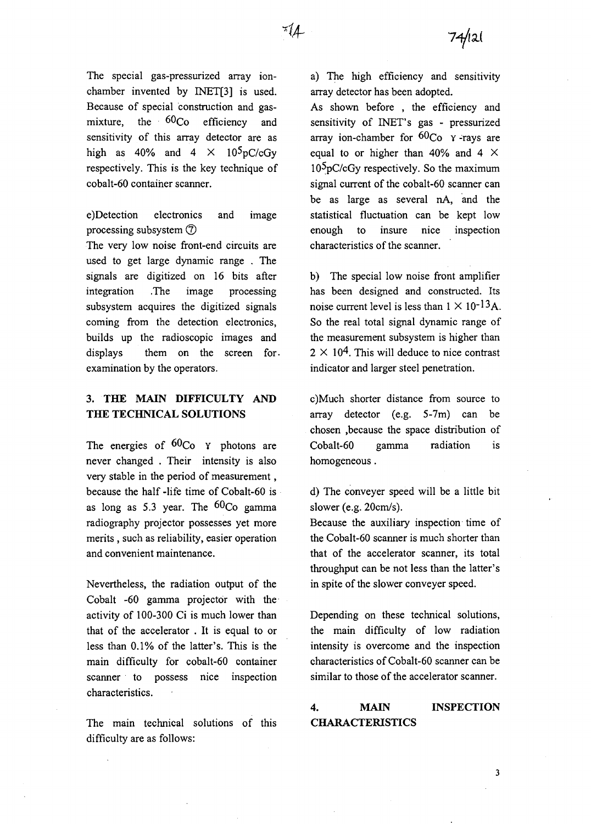The special gas-pressurized array ionchamber invented by INET[3] is used. Because of special construction and gasmixture, the  $60\text{Co}$  efficiency and sensitivity of this array detector are as high as 40% and 4  $\times$  10<sup>5</sup>pC/cGy respectively. This is the key technique of cobalt-60 container scanner.

e)Detection electronics and image processing subsystem ©

The very low noise front-end circuits are used to get large dynamic range . The signals are digitized on 16 bits after integration .The image processing subsystem acquires the digitized signals coming from the detection electronics, builds up the radioscopic images and displays them on the screen for. examination by the operators.

## **3. THE MAIN DIFFICULTY AND THE TECHNICAL SOLUTIONS**

The energies of  $60C<sub>O</sub>$  y photons are never changed . Their intensity is also very stable in the period of measurement, because the half -life time of Cobalt-60 is as long as 5.3 year. The  $60C<sub>O</sub>$  gamma radiography projector possesses yet more merits , such as reliability, easier operation and convenient maintenance.

Nevertheless, the radiation output of the Cobalt -60 gamma projector with the activity of 100-300 Ci is much lower than that of the accelerator . It is equal to or less than 0.1% of the latter's. This is the main difficulty for cobalt-60 container scanner to possess nice inspection characteristics.

The main technical solutions of this difficulty are as follows:

a) The high efficiency and sensitivity array detector has been adopted.

As shown before , the efficiency and sensitivity of INET's gas - pressurized array ion-chamber for  $60C_0$   $\gamma$ -rays are equal to or higher than 40% and 4  $\times$  $10<sup>5</sup> pC/cGy$  respectively. So the maximum signal current of the cobalt-60 scanner can be as large as several nA, and the statistical fluctuation can be kept low enough to insure nice inspection characteristics of the scanner.

b) The special low noise front amplifier has been designed and constructed. Its noise current level is less than  $1 \times 10^{-13}$ A. So the real total signal dynamic range of the measurement subsystem is higher than  $2 \times 10^{4}$ . This will deduce to nice contrast indicator and larger steel penetration.

c)Much shorter distance from source to array detector (e.g. 5-7m) can be chosen .because the space distribution of Cobalt-60 gamma radiation is homogeneous.

d) The conveyer speed will be a little bit slower (e.g. 20cm/s).

Because the auxiliary inspection time of the Cobalt-60 scanner is much shorter than that of the accelerator scanner, its total throughput can be not less than the latter's in spite of the slower conveyer speed.

Depending on these technical solutions, the main difficulty of low radiation intensity is overcome and the inspection characteristics of Cobalt-60 scanner can be similar to those of the accelerator scanner.

## **4. MAIN INSPECTION CHARACTERISTICS**

 $\overline{\mathbf{3}}$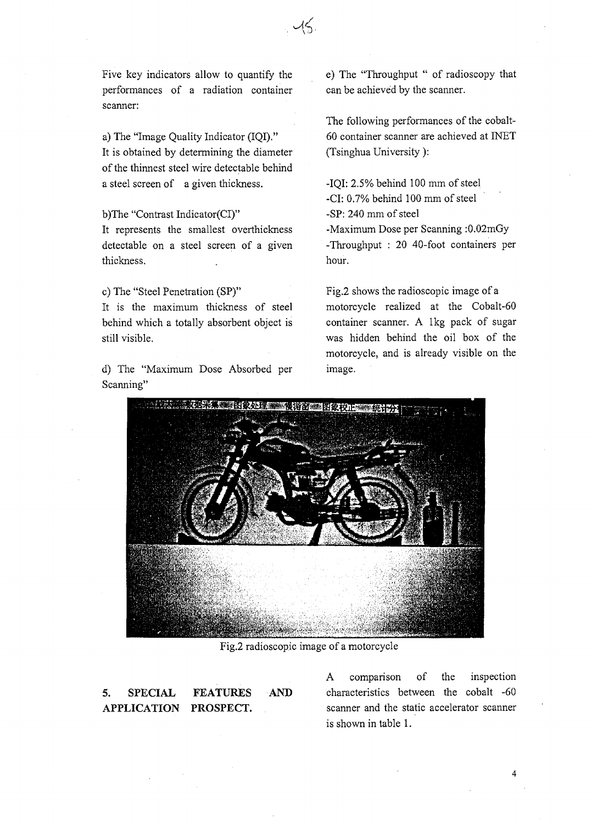Five key indicators allow to quantify the performances of a radiation container scanner:

a) The "Image Quality Indicator (IQI)." It is obtained by determining the diameter of the thinnest steel wire detectable behind a steel screen of a given thickness.

b)The "Contrast Indicator(CI)"

It represents the smallest overthickness detectable on a steel screen of a given thickness.

c) The "Steel Penetration (SP)" It is the maximum thickness of steel behind which a totally absorbent object is still visible.

d) The "Maximum Dose Absorbed per Scanning"

e) The "Throughput " of radioscopy that can be achieved by the scanner.

The following performances of the cobalt-60 container scanner are achieved at INET (Tsinghua University ):

-IQI: 2.5% behind 100 mm of steel -CI: 0.7% behind 100 mm of steel -SP: 240 mm of steel -Maximum Dose per Scanning :0.02mGy -Throughput : 20 40-foot containers per hour.

Fig.2 shows the radioscopic image of a motorcycle realized at the Cobalt-60 container scanner. A lkg pack of sugar was hidden behind the oil box of the motorcycle, and is already visible on the image.



Fig.2 radioscopic image of a motorcycle

**5. SPECIAL FEATURES APPLICATION PROSPECT.**

A comparison of the inspection AND characteristics between the cobalt -60 scanner and the static accelerator scanner is shown in table 1.

4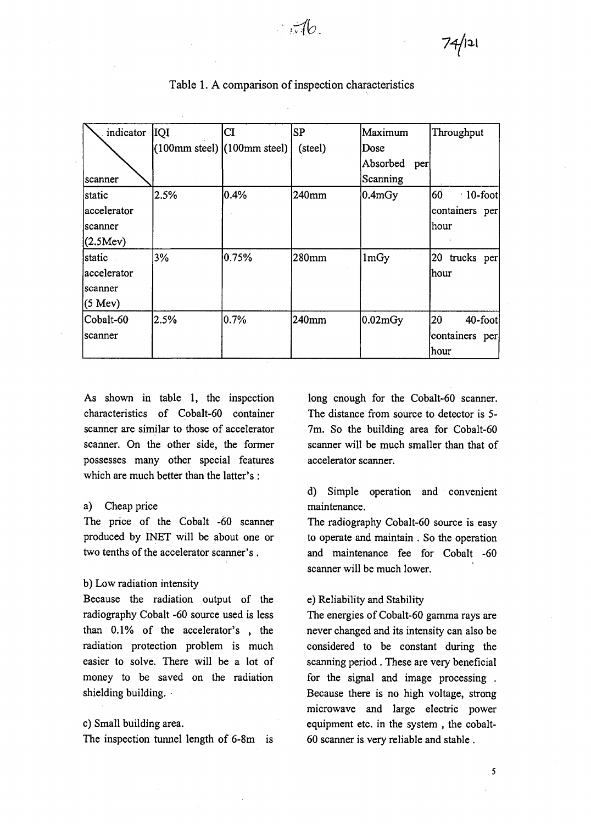| indicator         | <b>IQI</b>                            | CI      | SP      | Maximum             | Throughput            |
|-------------------|---------------------------------------|---------|---------|---------------------|-----------------------|
|                   | $(100$ mm steel) $(100$ mm steel) $ $ |         | (steel) | Dose                |                       |
|                   |                                       |         |         | Absorbed<br>per     |                       |
| scanner           |                                       |         |         | Scanning            |                       |
| static            | 2.5%                                  | $0.4\%$ | 240mm   | $ 0.4 \text{mGy} $  | 60<br>$\cdot$ 10-foot |
| accelerator       |                                       |         |         |                     | containers per        |
| scanner           |                                       |         |         |                     | hour                  |
| (2.5Mev)          |                                       |         |         |                     |                       |
| static .          | 3%                                    | 0.75%   | 280mm   | 1mGy                | 20 trucks per         |
| accelerator       |                                       |         |         |                     | hour                  |
| scanner           |                                       |         |         |                     |                       |
| $(5 \text{ Mev})$ |                                       |         |         |                     |                       |
| Cobalt-60         | 12.5%                                 | 10.7%   | 240mm   | $ 0.02 \text{mGy} $ | 20<br>40-foot         |
| scanner           |                                       |         |         |                     | containers per        |
|                   |                                       |         |         |                     | hour                  |

Table 1. A comparison of inspection characteristics

As shown in table 1, the inspection characteristics of Cobalt-60 container scanner are similar to those of accelerator scanner. On the other side, the former possesses many other special features which are much better than the latter's :

### a) Cheap price

The price of the Cobalt -60 scanner produced by INET will be about one or two tenths of the accelerator scanner's .

## b) Low radiation intensity

Because the radiation output of the radiography Cobalt -60 source used is less than 0.1% of the accelerator's , the radiation protection problem is much easier to solve. There will be a lot of money to be saved on the radiation shielding building.

## c) Small building area.

The inspection tunnel length of 6-8m **is**

long enough for the Cobalt-60 scanner. The distance from source to detector is 5- 7m. So the building area for Cobalt-60 scanner will be much smaller than that of accelerator scanner.

d) Simple operation and convenient maintenance.

The radiography Cobalt-60 source is easy to operate and maintain . So the operation and maintenance fee for Cobalt -60 scanner will be much lower.

### e) Reliability and Stability

The energies of Cobalt-60 gamma rays are never changed and its intensity can also be considered to be constant during the scanning period . These are very beneficial for the signal and image processing . Because there is no high voltage, strong microwave and large electric power equipment etc. in the system , the cobalt-60 scanner is very reliable and stable .